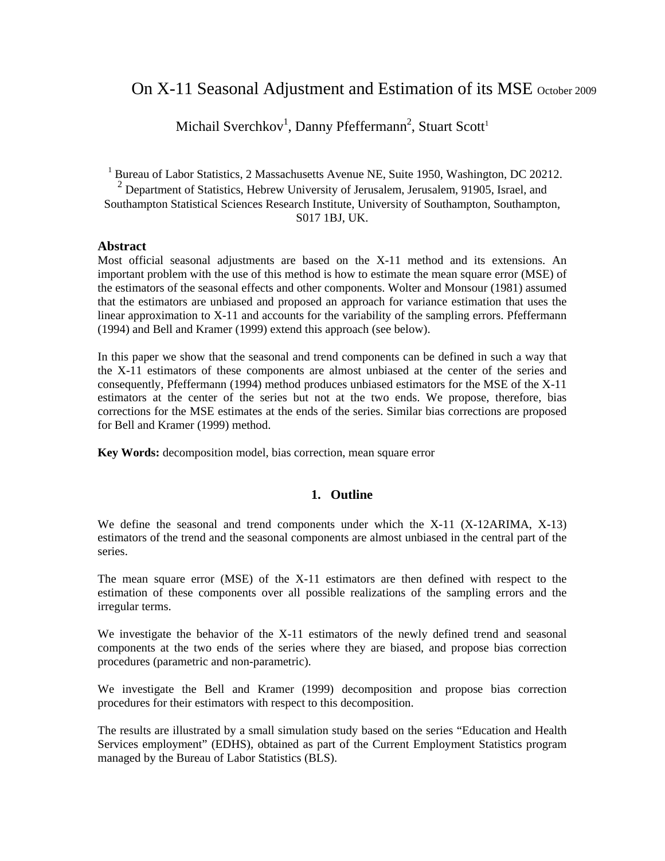# On X-11 Seasonal Adjustment and Estimation of its MSE October 2009

Michail Sverchkov<sup>1</sup>, Danny Pfeffermann<sup>2</sup>, Stuart Scott<sup>1</sup>

<sup>1</sup> Bureau of Labor Statistics, 2 Massachusetts Avenue NE, Suite 1950, Washington, DC 20212.

<sup>2</sup> Department of Statistics, Hebrew University of Jerusalem, Jerusalem, 91905, Israel, and Southampton Statistical Sciences Research Institute, University of Southampton, Southampton,

S017 1BJ, UK.

### **Abstract**

Most official seasonal adjustments are based on the X-11 method and its extensions. An important problem with the use of this method is how to estimate the mean square error (MSE) of the estimators of the seasonal effects and other components. Wolter and Monsour (1981) assumed that the estimators are unbiased and proposed an approach for variance estimation that uses the linear approximation to X-11 and accounts for the variability of the sampling errors. Pfeffermann (1994) and Bell and Kramer (1999) extend this approach (see below).

In this paper we show that the seasonal and trend components can be defined in such a way that the X-11 estimators of these components are almost unbiased at the center of the series and consequently, Pfeffermann (1994) method produces unbiased estimators for the MSE of the X-11 estimators at the center of the series but not at the two ends. We propose, therefore, bias corrections for the MSE estimates at the ends of the series. Similar bias corrections are proposed for Bell and Kramer (1999) method.

**Key Words:** decomposition model, bias correction, mean square error

### **1. Outline**

We define the seasonal and trend components under which the X-11 (X-12ARIMA, X-13) estimators of the trend and the seasonal components are almost unbiased in the central part of the series.

The mean square error (MSE) of the X-11 estimators are then defined with respect to the estimation of these components over all possible realizations of the sampling errors and the irregular terms.

We investigate the behavior of the X-11 estimators of the newly defined trend and seasonal components at the two ends of the series where they are biased, and propose bias correction procedures (parametric and non-parametric).

We investigate the Bell and Kramer (1999) decomposition and propose bias correction procedures for their estimators with respect to this decomposition.

The results are illustrated by a small simulation study based on the series "Education and Health Services employment" (EDHS), obtained as part of the Current Employment Statistics program managed by the Bureau of Labor Statistics (BLS).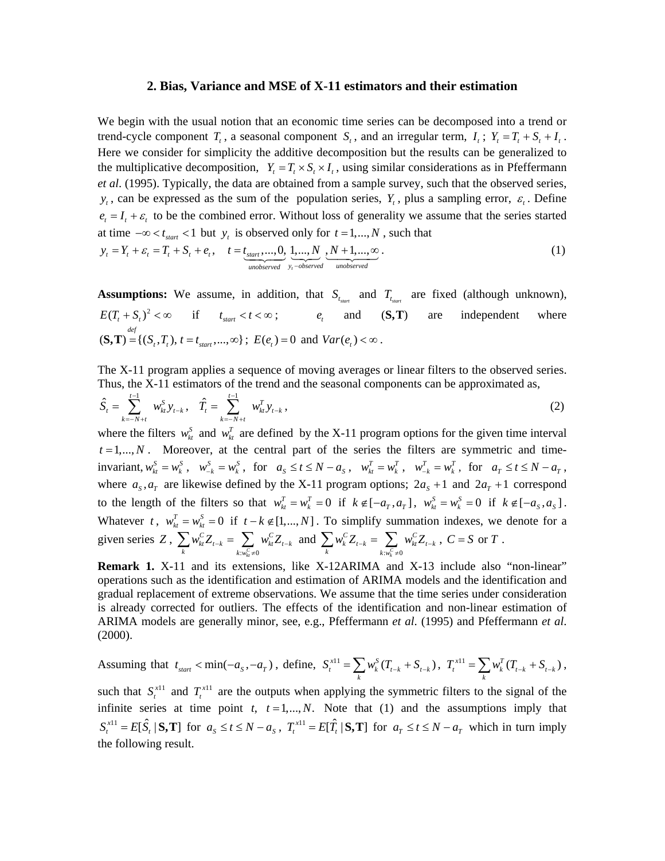#### **2. Bias, Variance and MSE of X-11 estimators and their estimation**

We begin with the usual notion that an economic time series can be decomposed into a trend or trend-cycle component  $T_t$ , a seasonal component  $S_t$ , and an irregular term,  $I_t$ ;  $Y_t = T_t + S_t + I_t$ . Here we consider for simplicity the additive decomposition but the results can be generalized to the multiplicative decomposition,  $Y_t = T_t \times S_t \times I_t$ , using similar considerations as in Pfeffermann *et al*. (1995). Typically, the data are obtained from a sample survey, such that the observed series,  $y_t$ , can be expressed as the sum of the population series,  $Y_t$ , plus a sampling error,  $\varepsilon_t$ . Define  $e_t = I_t + \varepsilon_t$  to be the combined error. Without loss of generality we assume that the series started at time  $-\infty < t_{start} < 1$  but y<sub>t</sub> is observed only for  $t = 1,...,N$ , such that

$$
y_t = Y_t + \varepsilon_t = T_t + S_t + e_t, \quad t = \underbrace{t_{start},...,0}_{unobserved}, \underbrace{1,...,N}_{y_t - observed}, \underbrace{N+1,...,\infty}_{unobserved}.
$$
 (1)

**Assumptions:** We assume, in addition, that  $S_{t_{start}}$  and  $T_{t_{start}}$  are fixed (although unknown),  $E(T_t + S_t)^2 < \infty$  if  $t_{start} < t < \infty$ ;  $e_t$  and  $(S, T)$  are independent where  $(\mathbf{S}, \mathbf{T}) = \{ (S_i, T_i), t = t_{\text{start}}, ..., \infty \}$ ;  $E(e_i) = 0$  and  $Var(e_i) < \infty$ .

The X-11 program applies a sequence of moving averages or linear filters to the observed series. Thus, the X-11 estimators of the trend and the seasonal components can be approximated as, 1

$$
\hat{S}_t = \sum_{k=-N+t}^{t-1} w_{kt}^S y_{t-k}, \quad \hat{T}_t = \sum_{k=-N+t}^{t-1} w_{kt}^T y_{t-k}, \tag{2}
$$

 $t = 1, \ldots, N$ . Moreover, at the central part of the series the filters are symmetric and timeinvariant,  $w_{kt}^{S} = w_{kt}^{S}$ ,  $w_{-k}^{S} = w_{kt}^{S}$ , for  $a_{S} \le t \le N - a_{S}$ ,  $w_{kt}^{T} = w_{kt}^{T}$ ,  $w_{-k}^{T} = w_{kt}^{T}$ , for  $a_{T} \le t \le N - a_{T}$ , where the filters  $w_{kt}^{S}$  and  $w_{kt}^{T}$  are defined by the X-11 program options for the given time interval where  $a_s$ ,  $a_r$  are likewise defined by the X-11 program options;  $2a_s + 1$  and  $2a_r + 1$  correspond to the length of the filters so that  $w_k^T = w_k^T = 0$  if  $k \notin [-a_T, a_T]$ ,  $w_k^S = w_k^S = 0$  if  $k \notin [-a_S, a_S]$ . Whatever t,  $w_{kt}^T = w_{kt}^S = 0$  if  $t - k \notin [1, ..., N]$ . To simplify summation indexes, we denote for a given series Z,  $\sum w_{i}^C Z_{i-k} = \sum w_{i}^C Z_{i-k}$  and  $:w_{kt}^C \neq 0$  $\sum_{k} w_{kt}^{C} Z_{t-k} = \sum_{k:w_{kt}^{C} \neq 0} w_{kt}^{C} Z_{t-k}$  $w_{kt}^{C}Z_{t-k} = \sum w_{kt}^{C}Z_{t-k}$  $\sum_{k} w_{kt}^{C} Z_{t-k} = \sum_{k: w_{kt}^{C} \neq 0} w_{kt}^{C} Z_{t-k}$  and  $\sum_{k} w_{k}^{C} Z_{t-k} = \sum_{k: w_{k}^{C} \neq 0} w_{kt}^{C} Z_{t-k}$  $\sum_{k} w_k^C Z_{t-k} = \sum_{k: w_k^C \neq 0} w_{kt}^C Z_{t-k}$  $w_k^C Z_{t-k} = \sum w_{kt}^C Z_{t-k}$  $\sum_k w^C_k Z_{t-k} = \sum_{k: w^C_k \neq 0} w^C_{kt} Z_{t-k} ,\ C = S \text{ or } T .$ 

**Remark 1.** X-11 and its extensions, like X-12ARIMA and X-13 include also "non-linear" operations such as the identification and estimation of ARIMA models and the identification and gradual replacement of extreme observations. We assume that the time series under consideration is already corrected for outliers. The effects of the identification and non-linear estimation of ARIMA models are generally minor, see, e.g., Pfeffermann *et al*. (1995) and Pfeffermann *et al*. (2000).

Assuming that 
$$
t_{start} < min(-a_s, -a_\tau)
$$
, define,  $S_t^{x^{11}} = \sum_k w_k^S (T_{t-k} + S_{t-k})$ ,  $T_t^{x^{11}} = \sum_k w_k^T (T_{t-k} + S_{t-k})$ ,

such that  $S_t^{x+1}$  and  $T_t^{x+1}$  are the outputs when applying the symmetric filters to the signal of the infinite series at time point *t*,  $t = 1,..., N$ . Note that (1) and the assumptions imply that  $S_t^{x+1} = E[\hat{S}_t | S, T]$  for  $a_s \le t \le N - a_s$ ,  $T_t^{x+1} = E[\hat{T}_t | S, T]$  for  $a_t \le t \le N - a_t$  which in turn imply the following result.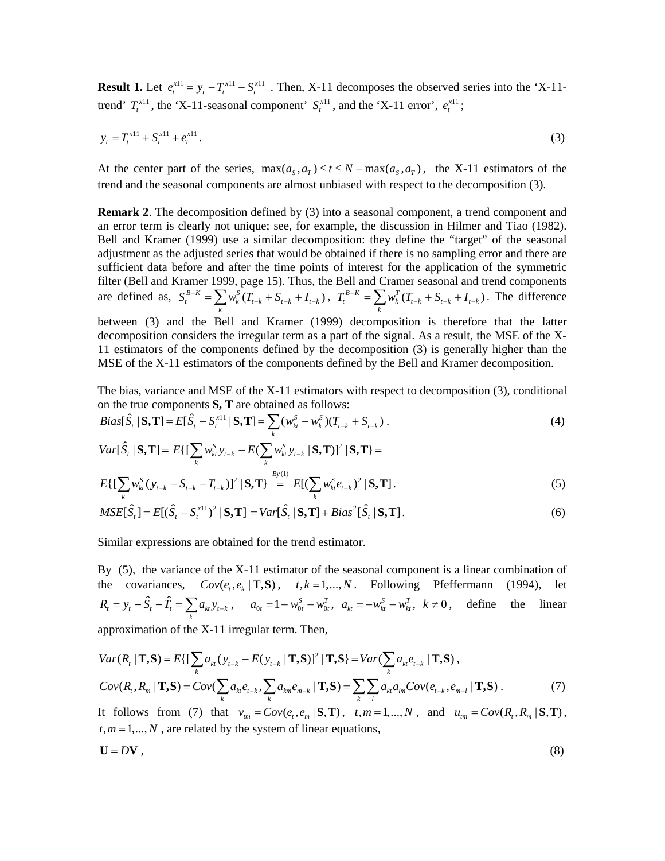**Result 1.** Let  $e_t^{x11} = y_t - T_t^{x11} - S_t^{x11}$ . Then, X-11 decomposes the observed series into the 'X-11trend'  $T_t^{\text{x11}}$ , the 'X-11-seasonal component'  $S_t^{\text{x11}}$ , and the 'X-11 error',  $e_t^{\text{x11}}$ ;

$$
y_t = T_t^{x+1} + S_t^{x+1} + e_t^{x+1}.
$$
 (3)

At the center part of the series,  $\max(a_s, a_r) \le t \le N - \max(a_s, a_r)$ , the X-11 estimators of the trend and the seasonal components are almost unbiased with respect to the decomposition (3).

**Remark 2.** The decomposition defined by (3) into a seasonal component, a trend component and an error term is clearly not unique; see, for example, the discussion in Hilmer and Tiao (1982). Bell and Kramer (1999) use a similar decomposition: they define the "target" of the seasonal adjustment as the adjusted series that would be obtained if there is no sampling error and there are sufficient data before and after the time points of interest for the application of the symmetric filter (Bell and Kramer 1999, page 15). Thus, the Bell and Cramer seasonal and trend components are defined as,  $S_t^{B-K} = \sum_k w_k^S (T_{t-k} + S_{t-k} + I_{t-k})$ ,  $T_t^{B-K} = \sum_k w_k^T (T_{t-k} + S_{t-k} + I_{t-k})$ . The difference between (3) and the Bell and Kramer (1999) decomposition is therefore that the latter

decomposition considers the irregular term as a part of the signal. As a result, the MSE of the X-11 estimators of the components defined by the decomposition (3) is generally higher than the MSE of the X-11 estimators of the components defined by the Bell and Kramer decomposition.

The bias, variance and MSE of the X-11 estimators with respect to decomposition (3), conditional on the true components **S**, **T** are obtained as follows:

$$
Bias[\hat{S}_t | \mathbf{S}, \mathbf{T}] = E[\hat{S}_t - S_t^{\text{x11}} | \mathbf{S}, \mathbf{T}] = \sum_k (w_{ki}^S - w_{ki}^S)(T_{t-k} + S_{t-k}).
$$
\n
$$
Var[\hat{S}_t | \mathbf{S}, \mathbf{T}] = E\{[\sum_k w_{ki}^S y_{t-k} - E(\sum_k w_{ki}^S y_{t-k} | \mathbf{S}, \mathbf{T})]^2 | \mathbf{S}, \mathbf{T}\} =
$$
\n
$$
F[\{\mathbf{\sum} w_{ki}^S (y_i - S_i - T_i)\}^2 | \mathbf{S}, \mathbf{T}\}^1] = F[(\sum w_{ki}^S e_i)^2 | \mathbf{S}, \mathbf{T}]
$$
\n(5)

$$
E\left\{\left[\sum_{k} w_{kt}^{S} (y_{t-k} - S_{t-k} - T_{t-k})\right]^{2} \mid \mathbf{S}, \mathbf{T}\right\} = E\left[\left(\sum_{k} w_{kt}^{S} e_{t-k}\right)^{2} \mid \mathbf{S}, \mathbf{T}\right].
$$
\n
$$
MSEF\hat{\mathbf{S}} = E\left\{\hat{\mathbf{S}} - \mathbf{S}^{x|1}\right\}^{2} + \mathbf{S} \cdot \mathbf{T} \cdot \mathbf{S} \cdot \mathbf{T} + E\hat{\mathbf{S}}^{x} + \mathbf{S}^{x} \cdot \mathbf{T} \cdot \mathbf{S} \cdot \mathbf{T} \cdot \mathbf{T} \cdot \mathbf{S} \cdot \mathbf{T} \cdot \mathbf{T} \cdot \mathbf{S} \cdot \mathbf{T} \cdot \mathbf{T} \cdot \mathbf{T} \cdot \mathbf{T} \cdot \mathbf{T} \cdot \mathbf{T} \cdot \mathbf{T} \cdot \mathbf{T} \cdot \mathbf{T} \cdot \mathbf{T} \cdot \mathbf{T} \cdot \mathbf{T} \cdot \mathbf{T} \cdot \mathbf{T} \cdot \mathbf{T} \cdot \mathbf{T} \cdot \mathbf{T} \cdot \mathbf{T} \cdot \mathbf{T} \cdot \mathbf{T} \cdot \mathbf{T} \cdot \mathbf{T} \cdot \mathbf{T} \cdot \mathbf{T} \cdot \mathbf{T} \cdot \mathbf{T} \cdot \mathbf{T} \cdot \mathbf{T} \cdot \mathbf{T} \cdot \mathbf{T} \cdot \mathbf{T} \cdot \mathbf{T} \cdot \mathbf{T} \cdot \mathbf{T} \cdot \mathbf{T} \cdot \mathbf{T} \cdot \mathbf{T} \cdot \mathbf{T} \cdot \mathbf{T} \cdot \mathbf{T} \cdot \mathbf{T} \cdot \mathbf{T} \cdot \mathbf{T} \cdot \mathbf{T} \cdot \mathbf{T} \cdot \mathbf{T} \cdot \mathbf{T} \cdot \mathbf{T} \cdot \mathbf{T} \cdot \mathbf{T} \cdot \mathbf{T} \cdot \mathbf{T} \cdot \mathbf{T} \cdot \mathbf{T} \cdot \mathbf{T} \cdot \mathbf{T} \cdot \mathbf{T} \cdot \mathbf{T} \cdot \mathbf{T} \cdot \mathbf{T} \cdot \mathbf{T} \cdot \mathbf{T} \cdot \mathbf{T} \cdot \mathbf{T} \cdot \mathbf{T} \cdot \mathbf{T} \cdot \mathbf{T} \cdot \mathbf{T} \cdot \mathbf{T} \cdot \mathbf{T} \cdot \mathbf
$$

$$
MSE[\hat{S}_t] = E[(\hat{S}_t - S_t^{x1})^2 | \mathbf{S}, \mathbf{T}] = Var[\hat{S}_t | \mathbf{S}, \mathbf{T}] + Bias^2[\hat{S}_t | \mathbf{S}, \mathbf{T}].
$$
\n(6)

Similar expressions are obtained for the trend estimator.

By (5), the variance of the X-11 estimator of the seasonal component is a linear combination of the covariances,  $Cov(e_t, e_k | T, S)$ ,  $t, k = 1, ..., N$ . Following Pfeffermann (1994), let  $R_t = y_t - \hat{S}_t - \hat{T}_t = \sum_k a_{kt} y_{t-k}$ ,  $a_{0t} = 1 - w_{0t}^S - w_{0t}^T$ ,  $a_{kt} = -w_{kt}^S - w_{kt}^T$ ,  $k \neq 0$ , define the linear

approximation of the X-11 irregular term. Then,

$$
Var(R_i | \mathbf{T}, \mathbf{S}) = E\{ \left[ \sum_k a_{ki} (y_{t-k} - E(y_{t-k} | \mathbf{T}, \mathbf{S})) \right]^2 | \mathbf{T}, \mathbf{S} \} = Var(\sum_k a_{ki} e_{t-k} | \mathbf{T}, \mathbf{S}),
$$
  
\n
$$
Cov(R_i, R_m | \mathbf{T}, \mathbf{S}) = Cov(\sum_k a_{ki} e_{t-k}, \sum_k a_{km} e_{m-k} | \mathbf{T}, \mathbf{S}) = \sum_k \sum_l a_{kl} a_{lm} Cov(e_{t-k}, e_{m-l} | \mathbf{T}, \mathbf{S}).
$$
 (7)

It follows from (7) that  $v_{tm} = Cov(e_t, e_m | \mathbf{S}, \mathbf{T})$ ,  $t, m = 1, ..., N$ , and  $u_{tm} = Cov(R_t, R_m | \mathbf{S}, \mathbf{T})$ ,  $t, m = 1, \ldots, N$ , are related by the system of linear equations,

$$
\mathbf{U} = D\mathbf{V} \tag{8}
$$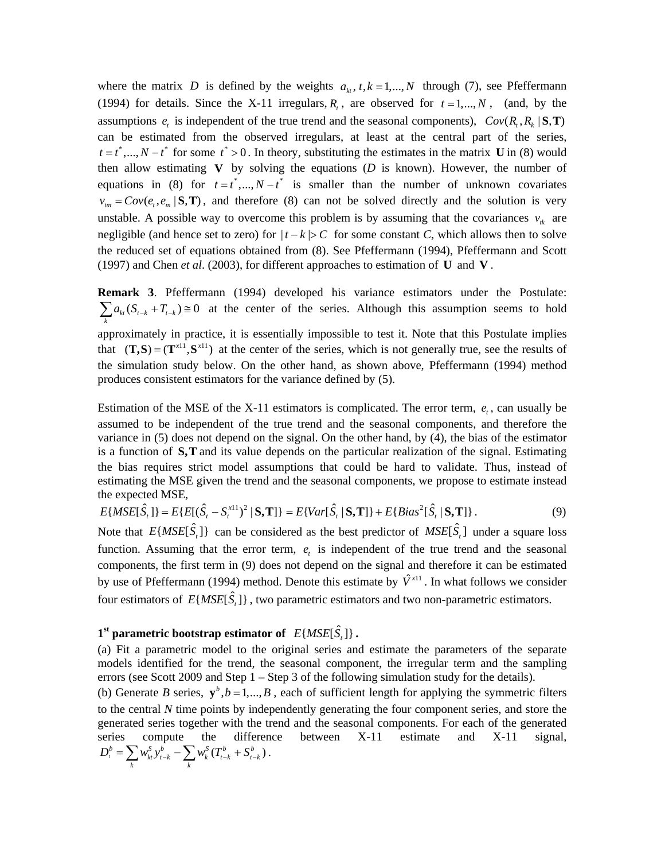where the matrix *D* is defined by the weights  $a_k$ ,  $t, k = 1,..., N$  through (7), see Pfeffermann (1994) for details. Since the X-11 irregulars,  $R<sub>t</sub>$ , are observed for  $t = 1,...,N$ , (and, by the assumptions  $e_t$  is independent of the true trend and the seasonal components),  $Cov(R_t, R_k | S, T)$ can be estimated from the observed irregulars, at least at the central part of the series,  $t = t^*$ , *t*,  $N - t^*$  for some  $t^* > 0$ . In theory, substituting the estimates in the matrix **U** in (8) would then allow estimating  $\bf{V}$  by solving the equations ( $\bf{D}$  is known). However, the number of equations in (8) for  $t = t^*$ ,..., $N - t^*$  is smaller than the number of unknown covariates  $v_{tm} = Cov(e_t, e_m | S, T)$ , and therefore (8) can not be solved directly and the solution is very unstable. A possible way to overcome this problem is by assuming that the covariances  $v_{ik}$  are negligible (and hence set to zero) for  $|t - k| > C$  for some constant *C*, which allows then to solve the reduced set of equations obtained from (8). See Pfeffermann (1994), Pfeffermann and Scott (1997) and Chen *et al*. (2003), for different approaches to estimation of **U** and **V** .

**Remark 3**. Pfeffermann (1994) developed his variance estimators under the Postulate:  $\sum a_{kt} (S_{t-k} + T_{t-k}) \ge 0$  at the center of the series. Although this assumption seems to hold approximately in practice, it is essentially impossible to test it. Note that this Postulate implies that  $(T, S) = (T^{x11}, S^{x11})$  at the center of the series, which is not generally true, see the results of the simulation study below. On the other hand, as shown above, Pfeffermann (1994) method produces consistent estimators for the variance defined by (5). *k*

Estimation of the MSE of the X-11 estimators is complicated. The error term,  $e_t$ , can usually be assumed to be independent of the true trend and the seasonal components, and therefore the variance in (5) does not depend on the signal. On the other hand, by (4), the bias of the estimator is a function of  $S$ ,  $T$  and its value depends on the particular realization of the signal. Estimating the bias requires strict model assumptions that could be hard to validate. Thus, instead of estimating the MSE given the trend and the seasonal components, we propose to estimate instead the expected MSE,

$$
E\{MSE[\hat{S}_t]\} = E\{E[(\hat{S}_t - S_t^{x(1)})^2 | \mathbf{S}, \mathbf{T}]\} = E\{Var[\hat{S}_t | \mathbf{S}, \mathbf{T}]\} + E\{Bias^2[\hat{S}_t | \mathbf{S}, \mathbf{T}]\}.
$$
 (9)

Note that  $E\{MSE[\hat{S}_t]\}$  can be considered as the best predictor of  $MSE[\hat{S}_t]$  under a square loss function. Assuming that the error term,  $e_t$  is independent of the true trend and the seasonal components, the first term in (9) does not depend on the signal and therefore it can be estimated by use of Pfeffermann (1994) method. Denote this estimate by  $\hat{V}^{x11}$ . In what follows we consider four estimators of  $E\{MSE[\hat{S},]\}\$ , two parametric estimators and two non-parametric estimators.

## $1<sup>st</sup>$  parametric bootstrap estimator of  $E\{MSE[\hat{S}_{i}]\}$ .

(a) Fit a parametric model to the original series and estimate the parameters of the separate models identified for the trend, the seasonal component, the irregular term and the sampling errors (see Scott 2009 and Step 1 – Step 3 of the following simulation study for the details). (b) Generate *B* series,  $y^b$ ,  $b = 1,..., B$ , each of sufficient length for applying the symmetric filters to the central *N* time points by independently generating the four component series, and store the generated series together with the trend and the seasonal components. For each of the generated series compute the difference between X-11 estimate and X-11 signal,  $D_i^b = \sum_k w_{ki}^S y_{i-k}^b - \sum_k w_k^S (T_{i-k}^b + S_{i-k}^b).$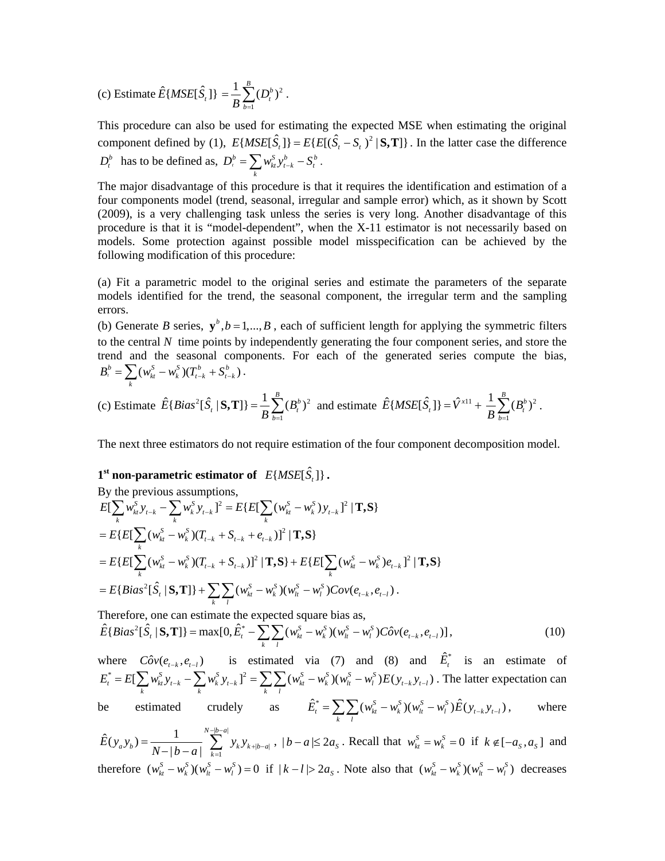(c) Estimate 
$$
\hat{E}
$$
{MSE[ $\hat{S}_t$ ]} =  $\frac{1}{B} \sum_{b=1}^{B} (D_t^b)^2$ .

This procedure can also be used for estimating the expected MSE when estimating the original component defined by (1),  $E\{MSE[\hat{S}] = E\{E[(\hat{S}_{t} - S_{t})^2 | \mathbf{S}, \mathbf{T}]\}\$ . In the latter case the difference  $D_t^b$  has to be defined as,  $D_t^b = \sum_k w_{kt}^s y_{t-k}^b - S_t^b$ .

The major disadvantage of this procedure is that it requires the identification and estimation of a four components model (trend, seasonal, irregular and sample error) which, as it shown by Scott (2009), is a very challenging task unless the series is very long. Another disadvantage of this procedure is that it is "model-dependent", when the X-11 estimator is not necessarily based on models. Some protection against possible model misspecification can be achieved by the following modification of this procedure:

(a) Fit a parametric model to the original series and estimate the parameters of the separate models identified for the trend, the seasonal component, the irregular term and the sampling errors.

(b) Generate *B* series,  $y^b$ ,  $b = 1,..., B$ , each of sufficient length for applying the symmetric filters to the central *N* time points by independently generating the four component series, and store the trend and the seasonal components. For each of the generated series compute the bias,  $B_t^b = \sum_k (w_{kt}^S - w_k^S)(T_{t-k}^b + S_{t-k}^b).$ 

(c) Estimate 
$$
\hat{E}\left\{Bias^2[\hat{S}_t | \mathbf{S}, \mathbf{T}]\right\} = \frac{1}{B} \sum_{b=1}^{B} (B_t^b)^2
$$
 and estimate  $\hat{E}\{MSE[\hat{S}_t]\} = \hat{V}^{x11} + \frac{1}{B} \sum_{b=1}^{B} (B_t^b)^2$ .

The next three estimators do not require estimation of the four component decomposition model.

# $1<sup>st</sup>$  non-parametric estimator of  $E\{MSE[\hat{S}_r]\}$ .

By the previous assumptions,  
\n
$$
E[\sum_{k} w_{kt}^{S} y_{t-k} - \sum_{k} w_{k}^{S} y_{t-k}]^{2} = E\{E[\sum_{k} (w_{kt}^{S} - w_{k}^{S}) y_{t-k}]^{2} | \mathbf{T}, \mathbf{S}\}
$$
\n
$$
= E\{E[\sum_{k} (w_{kt}^{S} - w_{k}^{S}) (T_{t-k} + S_{t-k} + e_{t-k})]^{2} | \mathbf{T}, \mathbf{S}\}
$$
\n
$$
= E\{E[\sum_{k} (w_{kt}^{S} - w_{k}^{S}) (T_{t-k} + S_{t-k})]^{2} | \mathbf{T}, \mathbf{S}\} + E\{E[\sum_{k} (w_{kt}^{S} - w_{k}^{S}) e_{t-k}]^{2} | \mathbf{T}, \mathbf{S}\}
$$
\n
$$
= E\{Bias^{2}[\hat{S}_{t} | \mathbf{S}, \mathbf{T}]\} + \sum_{k} \sum_{l} (w_{kt}^{S} - w_{k}^{S}) (w_{lt}^{S} - w_{l}^{S}) Cov(e_{t-k}, e_{t-l}).
$$
\nTherefore, one can estimate the synoted square lies as

Therefore, one can estimate the expected square bias as,

$$
\hat{E}\{Bias^2[\hat{S}_t | \mathbf{S}, \mathbf{T}]\} = \max[0, \hat{E}_t^* - \sum_k \sum_l (w_{kt}^S - w_k^S)(w_{lt}^S - w_l^S)C \hat{o} v(e_{t-k}, e_{t-l})],
$$
\n(10)

where  $C \hat{o} v(e_{t-k}, e_{t-l})$  is estimated via (7) and (8) and  $\hat{E}_t^*$  is an estimate of  $E_t^* = E[\sum_k w_{kt}^S y_{t-k} - \sum_k w_{k}^S y_{t-k}]^2 = \sum_k \sum_l (w_{kt}^S - w_{k}^S)(w_{lt}^S - w_{l}^S)E(y_{t-k}y_{t-l})$  $_{t-l}$ . The latter expectation can be estimated crudely as  $\hat{E}_t^* = \sum_k \sum_l (w_{kt}^S - w_k^S)(w_{lt}^S - w_l^S) \hat{E}(y_{t-k}^S y_{t-l}),$  where

 $|b-a|$  $\hat{E}(y_a y_b) = \frac{1}{N - |b - a|} \sum_{k=1}^{N - |b - a|} y_k y_{k + |b - a|}$  $E(y_a y_b) = \frac{1}{N - |b - a|} \sum_{k=1}^{n} y_k y_{k + |b - a|}$  $-|b =\frac{1}{N-|b-a|}$   $\sum_{k=1}^{\infty}$   $y_k y_{k+|b-a|}$ ,  $|b-a| \leq 2a_s$ . Recall that  $w_k^S = w_k^S = 0$  if  $k \notin [-a_s, a_s]$  and therefore  $(w_{kt}^S - w_k^S)(w_{lt}^S - w_l^S) = 0$  if  $|k - l| > 2a_s$ . Note also that  $(w_{kt}^S - w_k^S)(w_{lt}^S - w_l^S)$  decreases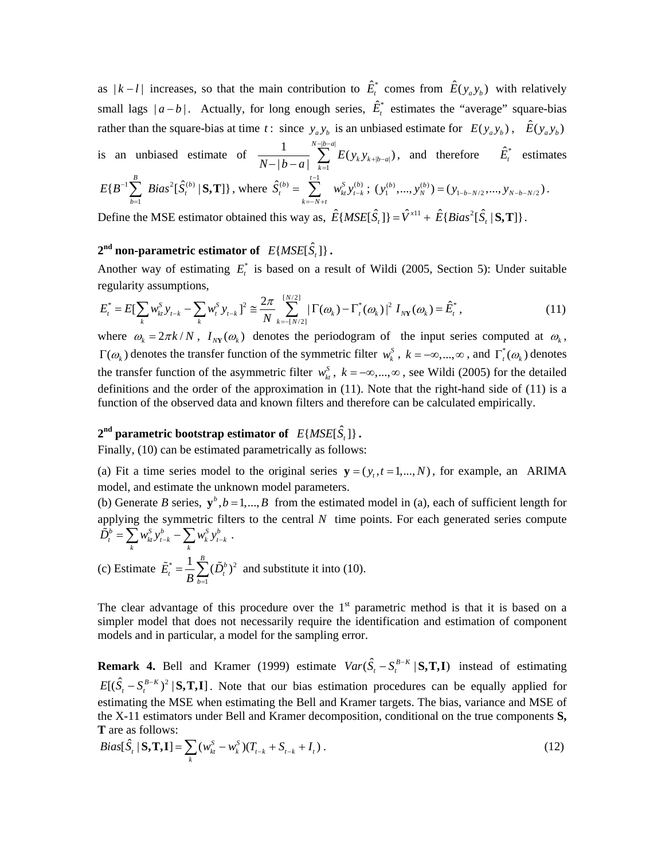as  $|k - l|$  increases, so that the main contribution to  $\hat{E}_t^*$  comes from  $\hat{E}(y_a y_b)$  with relatively small lags  $|a-b|$ . Actually, for long enough series,  $\hat{E}_t^*$  estimates the "average" square-bias rather than the square-bias at time *t*: since  $y_a y_b$  is an unbiased estimate for  $E(y_a y_b)$ ,  $\hat{E}(y_a y_b)$ is an unbiased estimate of  $|b-a|$  $\frac{1}{|b-a|} \sum_{k=1}^{N-|b-a|} E(\mathbf{y}_k \mathbf{y}_{k+|b-a|}$  $\frac{1}{N - |b - a|} \sum_{k = 1} E(y_k y_{k + |b - a|})$  $-|b \frac{1}{-|b-a|}\sum_{k=1}^{\infty}E(y_k y_{k+|b-a|})$ , and therefore  $\hat{E}_t^*$  estimates  $\sum_{i} Bias^{2}[\hat{S}_{t}^{(b)} | S, T]$ , where 1  $E(B^{-1}\sum_{b=1}^B\;Bias^2[\hat{S}^{(b)}_t\mid$  $E\{B^{-1}\sum_{\alpha} Bias^2[\hat{S}]$  $\sum_{b=1}$  *Bias*<sup>2</sup>[ $\hat{S}_{t}^{(b)}$  | **S, T**] }, where  $\hat{S}_{t}^{(b)} = \sum_{k=-N+t} w_{k}^{s}$  $\hat{S}_{t}^{(b)} = \sum_{k=-N+t}^{t-1} w_{kt}^{S} y_{t-k}^{(b)}; (y_{1}^{(b)},..., y_{N}^{(b)}) = (y_{1-b-N/2},..., y_{N-b-N/2}).$ Define the MSE estimator obtained this way as,  $\hat{E}\{MSE[\hat{S}_t]\} = \hat{V}^{x11} + \hat{E}\{Bias^2[\hat{S}_t | \mathbf{S}, \mathbf{T}]\}.$ 

# $2^{\text{nd}}$  non-parametric estimator of  $E\{MSE[\hat{S}_i]\}$ .

Another way of estimating  $E_t^*$  is based on a result of Wildi (2005, Section 5): Under suitable regularity assumptions,

$$
E_t^* = E[\sum_k w_{kt}^S y_{t-k} - \sum_k w_{t}^S y_{t-k}]^2 \cong \frac{2\pi}{N} \sum_{k=-\lfloor N/2 \rfloor}^{\lfloor N/2 \rfloor} |\Gamma(\omega_k) - \Gamma_t^*(\omega_k)|^2 I_{N}(\omega_k) = \hat{E}_t^*,
$$
\n(11)

where  $\omega_k = 2\pi k / N$ ,  $I_{\text{MV}}(\omega_k)$  denotes the periodogram of the input series computed at  $\omega_k$ ,  $\Gamma(\omega_k)$  denotes the transfer function of the symmetric filter  $w_k^S$ ,  $k = -\infty, ..., \infty$ , and  $\Gamma_t^*(\omega_k)$  denotes the transfer function of the asymmetric filter  $w_{i}^{S}$ ,  $k = -\infty, ..., \infty$ , see Wildi (2005) for the detailed definitions and the order of the approximation in (11). Note that the right-hand side of (11) is a function of the observed data and known filters and therefore can be calculated empirically.

## $2<sup>nd</sup>$  parametric bootstrap estimator of  $E\{MSE[\hat{S}_n]\}$ .

Finally, (10) can be estimated parametrically as follows:

(a) Fit a time series model to the original series  $y = (y_t, t = 1, \dots, N)$ , for example, an ARIMA model, and estimate the unknown model parameters.

(b) Generate *B* series,  $y^b$ ,  $b = 1,..., B$  from the estimated model in (a), each of sufficient length for applying the symmetric filters to the central *N* time points. For each generated series compute  $\tilde{D}_t^b = \sum_k w_{kt}^S y_{t-k}^b - \sum_k w_{k}^S y_{t-k}^b$ .

(c) Estimate 
$$
\tilde{E}_t^* = \frac{1}{B} \sum_{b=1}^B (\tilde{D}_t^b)^2
$$
 and substitute it into (10).

The clear advantage of this procedure over the  $1<sup>st</sup>$  parametric method is that it is based on a simpler model that does not necessarily require the identification and estimation of component models and in particular, a model for the sampling error.

**Remark 4.** Bell and Kramer (1999) estimate  $Var(\hat{S}_t - S_t^{B-K} | \mathbf{S}, \mathbf{T}, \mathbf{I})$  instead of estimating  $E[(\hat{S}_t - S_t^{B-K})^2 | S, T, I]$ . Note that our bias estimation procedures can be equally applied for estimating the MSE when estimating the Bell and Kramer targets. The bias, variance and MSE of the X-11 estimators under Bell and Kramer decomposition, conditional on the true components **S, T** are as follows:

$$
Bias[\hat{S}_t | \mathbf{S}, \mathbf{T}, \mathbf{I}] = \sum_k (w_{kt}^S - w_k^S)(T_{t-k} + S_{t-k} + I_t).
$$
\n(12)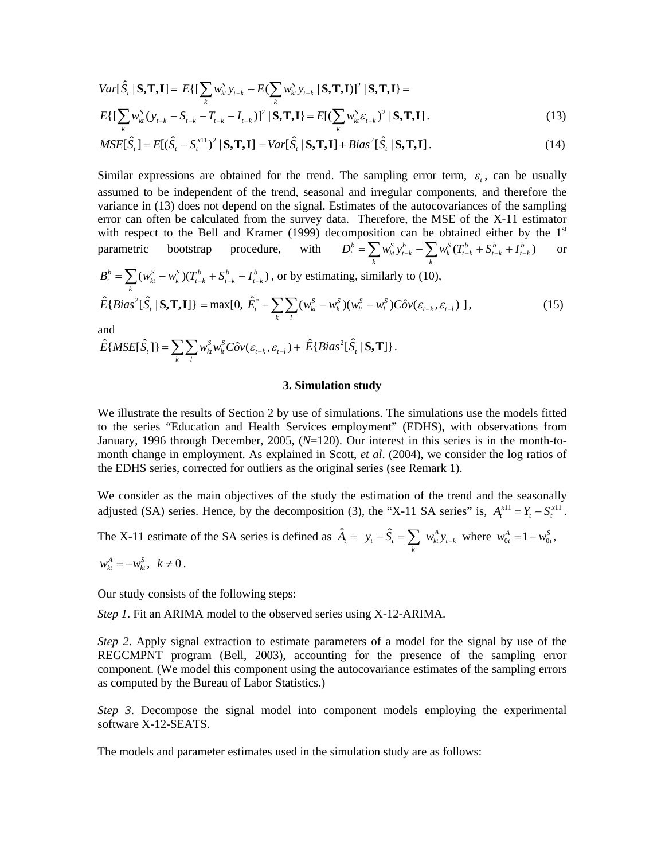$$
Var[\hat{S}_t | \mathbf{S}, \mathbf{T}, \mathbf{I}] = E\{ \left[ \sum_k w_{ki}^S y_{t-k} - E(\sum_k w_{ki}^S y_{t-k} | \mathbf{S}, \mathbf{T}, \mathbf{I}) \right]^2 | \mathbf{S}, \mathbf{T}, \mathbf{I} \} =
$$
  
\n
$$
E\{ \left[ \sum_k w_{ki}^S (y_{t-k} - S_{t-k} - T_{t-k} - I_{t-k}) \right]^2 | \mathbf{S}, \mathbf{T}, \mathbf{I} \} = E[(\sum_k w_{ki}^S \varepsilon_{t-k})^2 | \mathbf{S}, \mathbf{T}, \mathbf{I}] .
$$
\n(13)

$$
MSE[\hat{S}_t] = E[(\hat{S}_t - S_t^{\text{x11}})^2 | \mathbf{S}, \mathbf{T}, \mathbf{I}] = Var[\hat{S}_t | \mathbf{S}, \mathbf{T}, \mathbf{I}] + Bias^2[\hat{S}_t | \mathbf{S}, \mathbf{T}, \mathbf{I}].
$$
\n(14)

Similar expressions are obtained for the trend. The sampling error term,  $\varepsilon$ , can be usually assumed to be independent of the trend, seasonal and irregular components, and therefore the variance in (13) does not depend on the signal. Estimates of the autocovariances of the sampling error can often be calculated from the survey data. Therefore, the MSE of the X-11 estimator with respect to the Bell and Kramer (1999) decomposition can be obtained either by the 1<sup>st</sup> parametric bootstrap procedure, with  $D_t^b = \sum w_{kt}^S y_{t-k}^b - \sum w_k^S (T_{t-k}^b + S_{t-k}^b + I_{t-k}^b)$  or parametric bootstrap procedure, with  $D_t^b = \sum_k w_{kt}^S y_{t-k}^b - \sum_k w_k^S (T_{t-k}^b + S_{t-k}^b + I_{t-k}^b)$  or

$$
B_t^b = \sum_k (w_{kt}^S - w_k^S)(T_{t-k}^b + S_{t-k}^b + I_{t-k}^b), \text{ or by estimating, similarly to (10),}
$$
  

$$
\hat{E}\{\text{Bias}^2[\hat{S}_t | \mathbf{S}, \mathbf{T}, \mathbf{I}]\} = \max[0, \ \hat{E}_t^* - \sum_k \sum_l (w_{kt}^S - w_k^S)(w_{lt}^S - w_l^S)C\hat{o}v(\varepsilon_{t-k}, \varepsilon_{t-l})\ ],
$$
 (15)

and

$$
\hat{E}\{MSE[\hat{S}_t]\} = \sum_k \sum_l w_{kt}^S w_{lt}^S C \hat{\sigma} v(\varepsilon_{t-k}, \varepsilon_{t-l}) + \hat{E}\{Bias^2[\hat{S}_t | \mathbf{S}, \mathbf{T}]\}.
$$

#### **3. Simulation study**

We illustrate the results of Section 2 by use of simulations. The simulations use the models fitted to the series "Education and Health Services employment" (EDHS), with observations from January, 1996 through December, 2005, (*N*=120). Our interest in this series is in the month-tomonth change in employment. As explained in Scott, *et al*. (2004), we consider the log ratios of the EDHS series, corrected for outliers as the original series (see Remark 1).

We consider as the main objectives of the study the estimation of the trend and the seasonally adjusted (SA) series. Hence, by the decomposition (3), the "X-11 SA series" is,  $A_t^{x11} = Y_t - S_t^{x11}$ .

The X-11 estimate of the SA series is defined as  $\hat{A}_t = y_t - \hat{S}_t = \sum_k w_{kt}^A y_{t-k}$  where  $w_{0t}^A = 1 - w_{0t}^S$ ,

$$
w_{kt}^A = -w_{kt}^S, \ \ k \neq 0.
$$

Our study consists of the following steps:

*Step 1*. Fit an ARIMA model to the observed series using X-12-ARIMA.

*Step 2*. Apply signal extraction to estimate parameters of a model for the signal by use of the REGCMPNT program (Bell, 2003), accounting for the presence of the sampling error component. (We model this component using the autocovariance estimates of the sampling errors as computed by the Bureau of Labor Statistics.)

*Step 3*. Decompose the signal model into component models employing the experimental software X-12-SEATS.

The models and parameter estimates used in the simulation study are as follows: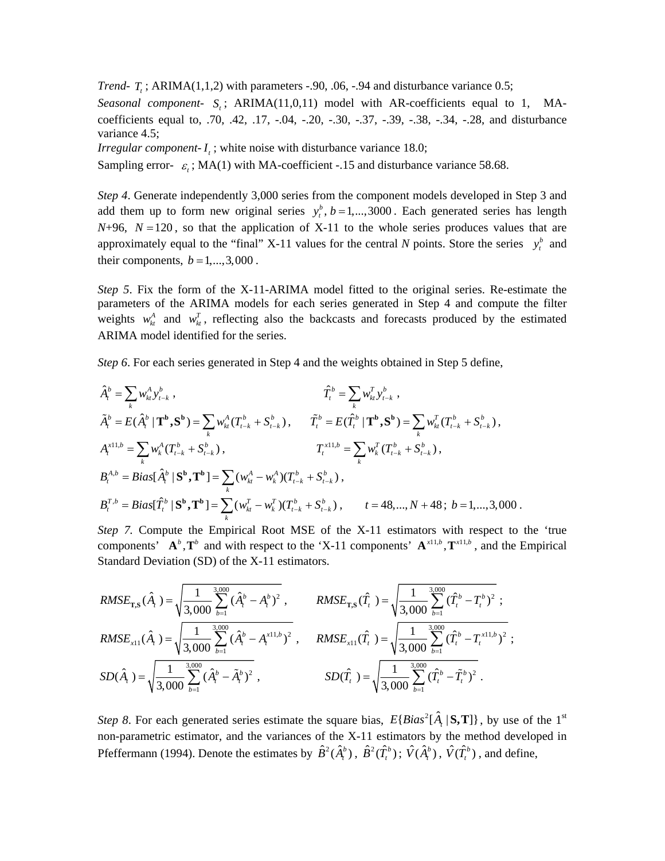*Trend-T<sub>r</sub>*;  $ARIMA(1,1,2)$  with parameters -.90, .06, -.94 and disturbance variance 0.5;

*Seasonal component-*  $S_t$ ; ARIMA(11,0,11) model with AR-coefficients equal to 1, MAcoefficients equal to, .70, .42, .17, -.04, -.20, -.30, -.37, -.39, -.38, -.34, -.28, and disturbance variance 4.5;

*Irregular component-* $I_t$ *;* white noise with disturbance variance 18.0;

Sampling error- $\varepsilon$ <sub>t</sub>; MA(1) with MA-coefficient -.15 and disturbance variance 58.68.

*Step 4*. Generate independently 3,000 series from the component models developed in Step 3 and add them up to form new original series  $y_t^b$ ,  $b = 1,...,3000$ . Each generated series has length  $N+96$ ,  $N=120$ , so that the application of X-11 to the whole series produces values that are approximately equal to the "final" X-11 values for the central *N* points. Store the series  $y_t^b$  and their components,  $b = 1, \ldots, 3,000$ .

*Step 5*. Fix the form of the X-11-ARIMA model fitted to the original series. Re-estimate the parameters of the ARIMA models for each series generated in Step 4 and compute the filter weights  $w_{kt}^{A}$  and  $w_{kt}^{T}$ , reflecting also the backcasts and forecasts produced by the estimated ARIMA model identified for the series.

*Step 6*. For each series generated in Step 4 and the weights obtained in Step 5 define,

$$
\hat{A}_{t}^{b} = \sum_{k} w_{kt}^{A} y_{t-k}^{b}, \qquad \hat{T}_{t}^{b} = \sum_{k} w_{kt}^{T} y_{t-k}^{b}, \n\tilde{A}_{t}^{b} = E(\hat{A}_{t}^{b} | \mathbf{T}^{b}, \mathbf{S}^{b}) = \sum_{k} w_{kt}^{A} (T_{t-k}^{b} + S_{t-k}^{b}), \qquad \tilde{T}_{t}^{b} = E(\hat{T}_{t}^{b} | \mathbf{T}^{b}, \mathbf{S}^{b}) = \sum_{k} w_{kt}^{T} (T_{t-k}^{b} + S_{t-k}^{b}), \nA_{t}^{x11,b} = \sum_{k} w_{k}^{A} (T_{t-k}^{b} + S_{t-k}^{b}), \qquad T_{t}^{x11,b} = \sum_{k} w_{k}^{T} (T_{t-k}^{b} + S_{t-k}^{b}), \nB_{t}^{A,b} = Bias[\hat{A}_{t}^{b} | \mathbf{S}^{b}, \mathbf{T}^{b}] = \sum_{k} (w_{kt}^{A} - w_{k}^{A}) (T_{t-k}^{b} + S_{t-k}^{b}), \nB_{t}^{T,b} = Bias[\hat{T}_{t}^{b} | \mathbf{S}^{b}, \mathbf{T}^{b}] = \sum_{k} (w_{kt}^{T} - w_{k}^{T}) (T_{t-k}^{b} + S_{t-k}^{b}), \qquad t = 48,..., N + 48; b = 1,...,3,000.
$$

*Step 7.* Compute the Empirical Root MSE of the X-11 estimators with respect to the 'true components'  $A^b$ ,  $T^b$  and with respect to the 'X-11 components'  $A^{x11,b}$ ,  $T^{x11,b}$ , and the Empirical Standard Deviation (SD) of the X-11 estimators.

$$
RMSE_{\text{T,S}}(\hat{A}_{t}) = \sqrt{\frac{1}{3,000} \sum_{b=1}^{3,000} (\hat{A}_{t}^{b} - A_{t}^{b})^{2}}, \qquad RMSE_{\text{T,S}}(\hat{T}_{t}) = \sqrt{\frac{1}{3,000} \sum_{b=1}^{3,000} (\hat{T}_{t}^{b} - T_{t}^{b})^{2}};
$$
\n
$$
RMSE_{x11}(\hat{A}_{t}) = \sqrt{\frac{1}{3,000} \sum_{b=1}^{3,000} (\hat{A}_{t}^{b} - A_{t}^{x11,b})^{2}}, \qquad RMSE_{x11}(\hat{T}_{t}) = \sqrt{\frac{1}{3,000} \sum_{b=1}^{3,000} (\hat{T}_{t}^{b} - T_{t}^{x11,b})^{2}};
$$
\n
$$
SD(\hat{A}_{t}) = \sqrt{\frac{1}{3,000} \sum_{b=1}^{3,000} (\hat{A}_{t}^{b} - \tilde{A}_{t}^{b})^{2}}, \qquad SD(\hat{T}_{t}) = \sqrt{\frac{1}{3,000} \sum_{b=1}^{3,000} (\hat{T}_{t}^{b} - \tilde{T}_{t}^{b})^{2}}.
$$

*Step 8*. For each generated series estimate the square bias,  $E{Bias^2[\hat{A}, |S,T]}$ , by use of the 1<sup>st</sup> non-parametric estimator, and the variances of the X-11 estimators by the method developed in Pfeffermann (1994). Denote the estimates by  $\hat{B}^2(\hat{A}_r^b)$ ,  $\hat{B}^2(\hat{T}_r^b)$ ;  $\hat{V}(\hat{A}_r^b)$ ,  $\hat{V}(\hat{T}_r^b)$ , and define,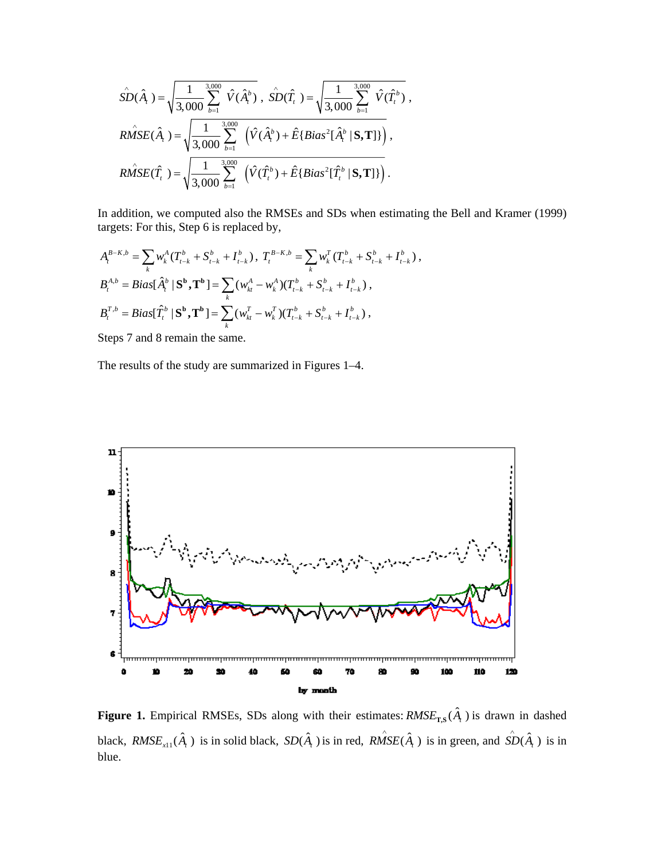$$
\hat{SD}(\hat{A}_{t}) = \sqrt{\frac{1}{3,000} \sum_{b=1}^{3,000} \hat{V}(\hat{A}_{t}^{b})}, \ \hat{SD}(\hat{T}_{t}) = \sqrt{\frac{1}{3,000} \sum_{b=1}^{3,000} \hat{V}(\hat{T}_{t}^{b})},
$$
\n
$$
\hat{RMSE}(\hat{A}_{t}) = \sqrt{\frac{1}{3,000} \sum_{b=1}^{3,000} (\hat{V}(\hat{A}_{t}^{b}) + \hat{E}\left\{Bias^{2}[\hat{A}_{t}^{b} | \mathbf{S}, \mathbf{T}]\right\})},
$$
\n
$$
\hat{RMSE}(\hat{T}_{t}) = \sqrt{\frac{1}{3,000} \sum_{b=1}^{3,000} (\hat{V}(\hat{T}_{t}^{b}) + \hat{E}\left\{Bias^{2}[\hat{T}_{t}^{b} | \mathbf{S}, \mathbf{T}]\right\})}.
$$

In addition, we computed also the RMSEs and SDs when estimating the Bell and Kramer (1999) targets: For this, Step 6 is replaced by,

$$
A_t^{B-K,b} = \sum_k w_k^A (T_{t-k}^b + S_{t-k}^b + I_{t-k}^b), T_t^{B-K,b} = \sum_k w_k^T (T_{t-k}^b + S_{t-k}^b + I_{t-k}^b),
$$
  
\n
$$
B_t^{A,b} = Bias[\hat{A}_t^b | \mathbf{S}^b, \mathbf{T}^b] = \sum_k (w_{ki}^A - w_{k}^A)(T_{t-k}^b + S_{t-k}^b + I_{t-k}^b),
$$
  
\n
$$
B_t^{T,b} = Bias[\hat{T}_t^b | \mathbf{S}^b, \mathbf{T}^b] = \sum_k (w_{ki}^T - w_{k}^T)(T_{t-k}^b + S_{t-k}^b + I_{t-k}^b),
$$

Steps 7 and 8 remain the same.

The results of the study are summarized in Figures 1–4.



**Figure 1.** Empirical RMSEs, SDs along with their estimates:  $RMSE_{T,S}(\hat{A})$  is drawn in dashed black,  $RMSE_{x11}(\hat{A})$  is in solid black,  $SD(\hat{A})$  is in red,  $RMSE(\hat{A})$  is in green, and  $\hat{SD}(\hat{A})$  is in blue.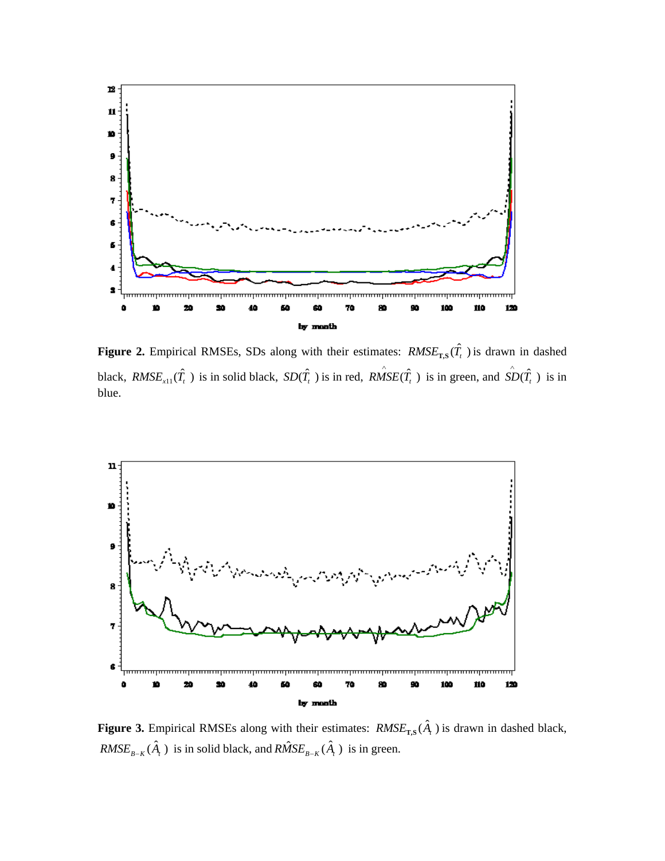

**Figure 2.** Empirical RMSEs, SDs along with their estimates:  $RMSE_{TS}(\hat{T}_t)$  is drawn in dashed black,  $RMSE_{x11}(\hat{T}_t)$  is in solid black,  $SD(\hat{T}_t)$  is in red,  $\hat{RMSE}(\hat{T}_t)$  is in green, and  $\hat{SD}(\hat{T}_t)$  is in blue.



**Figure 3.** Empirical RMSEs along with their estimates:  $RMSE_{T,S}(\hat{A}_{t})$  is drawn in dashed black,  $RMSE_{B-K}(\hat{A})$  *is in solid black, and*  $\hat{RMSE}_{B-K}(\hat{A})$  *<i>is in green.*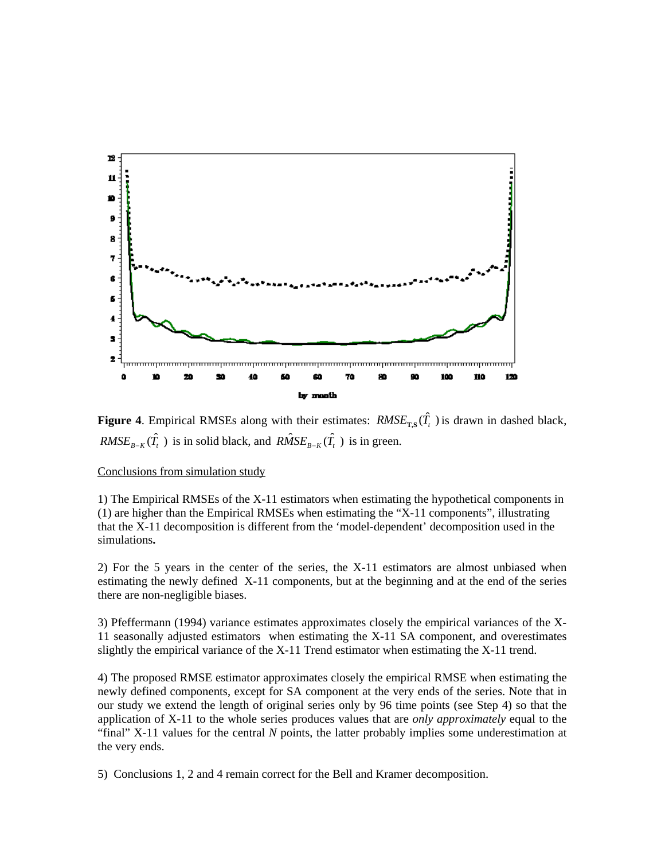

**Figure 4.** Empirical RMSEs along with their estimates:  $RMSE_{TS}(\hat{T})$  is drawn in dashed black,  $RMSE_{B-K}(\hat{T}_t)$  is in solid black, and  $\hat{RMSE}_{B-K}(\hat{T}_t)$  is in green.

### Conclusions from simulation study

1) The Empirical RMSEs of the X-11 estimators when estimating the hypothetical components in (1) are higher than the Empirical RMSEs when estimating the "X-11 components", illustrating that the X-11 decomposition is different from the 'model-dependent' decomposition used in the simulations**.**

2) For the 5 years in the center of the series, the X-11 estimators are almost unbiased when estimating the newly defined X-11 components, but at the beginning and at the end of the series there are non-negligible biases.

3) Pfeffermann (1994) variance estimates approximates closely the empirical variances of the X-11 seasonally adjusted estimators when estimating the X-11 SA component, and overestimates slightly the empirical variance of the X-11 Trend estimator when estimating the X-11 trend.

4) The proposed RMSE estimator approximates closely the empirical RMSE when estimating the newly defined components, except for SA component at the very ends of the series. Note that in our study we extend the length of original series only by 96 time points (see Step 4) so that the application of X-11 to the whole series produces values that are *only approximately* equal to the "final" X-11 values for the central *N* points, the latter probably implies some underestimation at the very ends.

5) Conclusions 1, 2 and 4 remain correct for the Bell and Kramer decomposition.